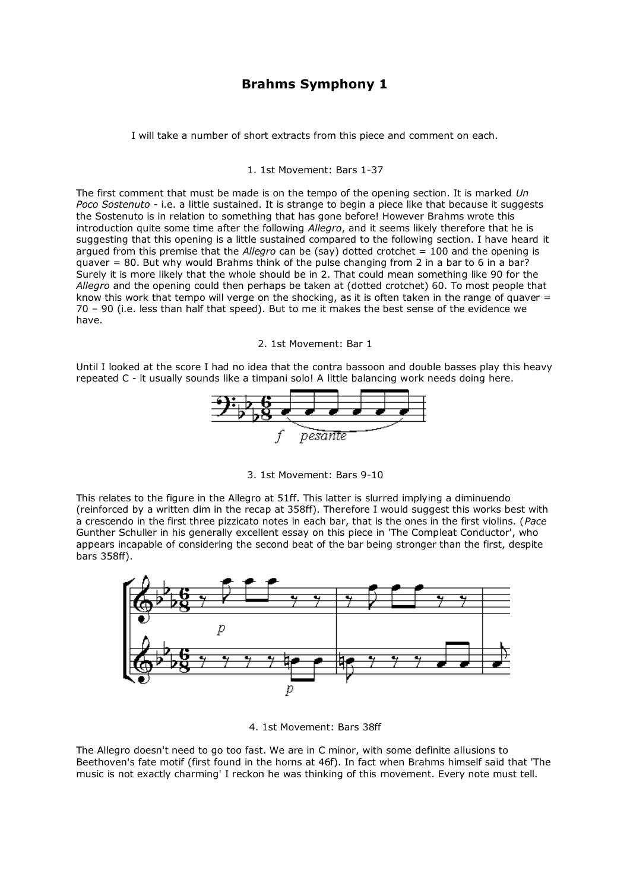# **Brahms Symphony 1**

I will take a number of short extracts from this piece and comment on each.

# 1. 1st Movement: Bars 1-37

The first comment that must be made is on the tempo of the opening section. It is marked *Un Poco Sostenuto* - i.e. a little sustained. It is strange to begin a piece like that because it suggests the Sostenuto is in relation to something that has gone before! However Brahms wrote this introduction quite some time after the following *Allegro*, and it seems likely therefore that he is suggesting that this opening is a little sustained compared to the following section. I have heard it argued from this premise that the *Allegro* can be (say) dotted crotchet = 100 and the opening is quaver = 80. But why would Brahms think of the pulse changing from 2 in a bar to 6 in a bar? Surely it is more likely that the whole should be in 2. That could mean something like 90 for the *Allegro* and the opening could then perhaps be taken at (dotted crotchet) 60. To most people that know this work that tempo will verge on the shocking, as it is often taken in the range of quaver  $=$ 70 – 90 (i.e. less than half that speed). But to me it makes the best sense of the evidence we have.

2. 1st Movement: Bar 1

Until I looked at the score I had no idea that the contra bassoon and double basses play this heavy repeated C - it usually sounds like a timpani solo! A little balancing work needs doing here.



3. 1st Movement: Bars 9-10

This relates to the figure in the Allegro at 51ff. This latter is slurred implying a diminuendo (reinforced by a written dim in the recap at 358ff). Therefore I would suggest this works best with a crescendo in the first three pizzicato notes in each bar, that is the ones in the first violins. (*Pace* Gunther Schuller in his generally excellent essay on this piece in 'The Compleat Conductor', who appears incapable of considering the second beat of the bar being stronger than the first, despite bars 358ff).



4. 1st Movement: Bars 38ff

The Allegro doesn't need to go too fast. We are in C minor, with some definite allusions to Beethoven's fate motif (first found in the horns at 46f). In fact when Brahms himself said that 'The music is not exactly charming' I reckon he was thinking of this movement. Every note must tell.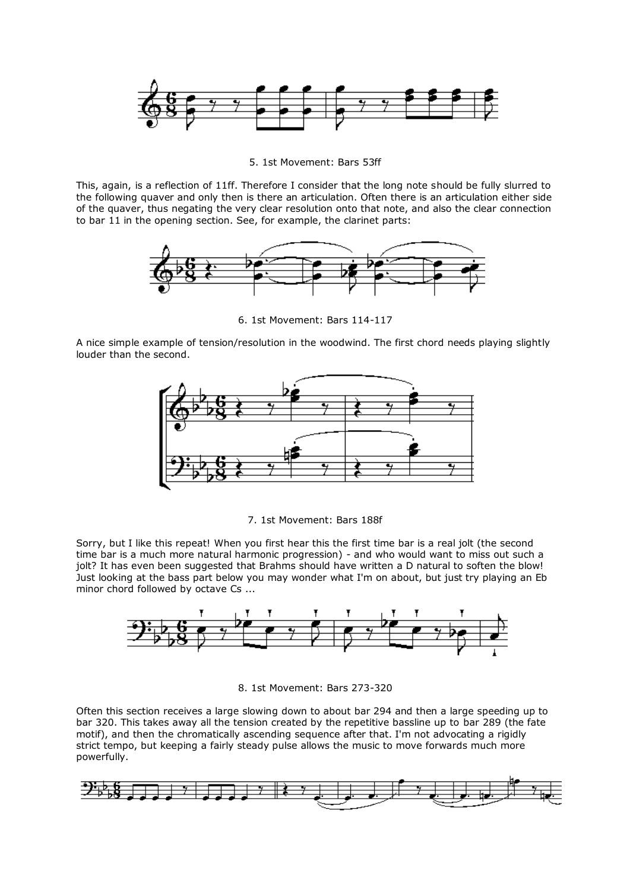

5. 1st Movement: Bars 53ff

This, again, is a reflection of 11ff. Therefore I consider that the long note should be fully slurred to the following quaver and only then is there an articulation. Often there is an articulation either side of the quaver, thus negating the very clear resolution onto that note, and also the clear connection to bar 11 in the opening section. See, for example, the clarinet parts:



6. 1st Movement: Bars 114-117

A nice simple example of tension/resolution in the woodwind. The first chord needs playing slightly louder than the second.



7. 1st Movement: Bars 188f

Sorry, but I like this repeat! When you first hear this the first time bar is a real jolt (the second time bar is a much more natural harmonic progression) - and who would want to miss out such a jolt? It has even been suggested that Brahms should have written a D natural to soften the blow! Just looking at the bass part below you may wonder what I'm on about, but just try playing an Eb minor chord followed by octave Cs ...



8. 1st Movement: Bars 273-320

Often this section receives a large slowing down to about bar 294 and then a large speeding up to bar 320. This takes away all the tension created by the repetitive bassline up to bar 289 (the fate motif), and then the chromatically ascending sequence after that. I'm not advocating a rigidly strict tempo, but keeping a fairly steady pulse allows the music to move forwards much more powerfully.

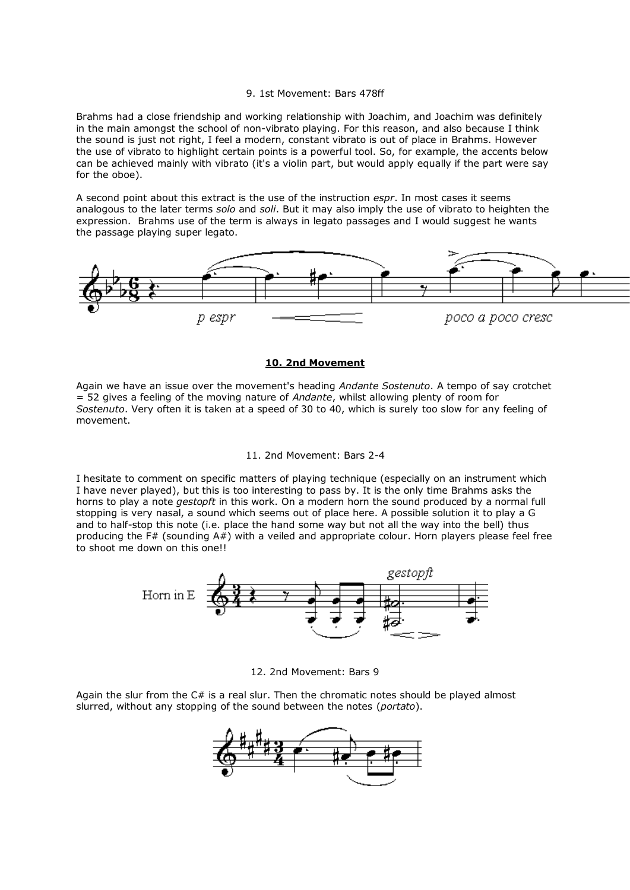#### 9. 1st Movement: Bars 478ff

Brahms had a close friendship and working relationship with Joachim, and Joachim was definitely in the main amongst the school of non-vibrato playing. For this reason, and also because I think the sound is just not right, I feel a modern, constant vibrato is out of place in Brahms. However the use of vibrato to highlight certain points is a powerful tool. So, for example, the accents below can be achieved mainly with vibrato (it's a violin part, but would apply equally if the part were say for the oboe).

A second point about this extract is the use of the instruction *espr*. In most cases it seems analogous to the later terms *solo* and *soli*. But it may also imply the use of vibrato to heighten the expression. Brahms use of the term is always in legato passages and I would suggest he wants the passage playing super legato.



# **10. 2nd Movement**

Again we have an issue over the movement's heading *Andante Sostenuto*. A tempo of say crotchet = 52 gives a feeling of the moving nature of *Andante*, whilst allowing plenty of room for *Sostenuto*. Very often it is taken at a speed of 30 to 40, which is surely too slow for any feeling of movement.

## 11. 2nd Movement: Bars 2-4

I hesitate to comment on specific matters of playing technique (especially on an instrument which I have never played), but this is too interesting to pass by. It is the only time Brahms asks the horns to play a note *gestopft* in this work. On a modern horn the sound produced by a normal full stopping is very nasal, a sound which seems out of place here. A possible solution it to play a G and to half-stop this note (i.e. place the hand some way but not all the way into the bell) thus producing the F# (sounding A#) with a veiled and appropriate colour. Horn players please feel free to shoot me down on this one!!



12. 2nd Movement: Bars 9

Again the slur from the C# is a real slur. Then the chromatic notes should be played almost slurred, without any stopping of the sound between the notes (*portato*).

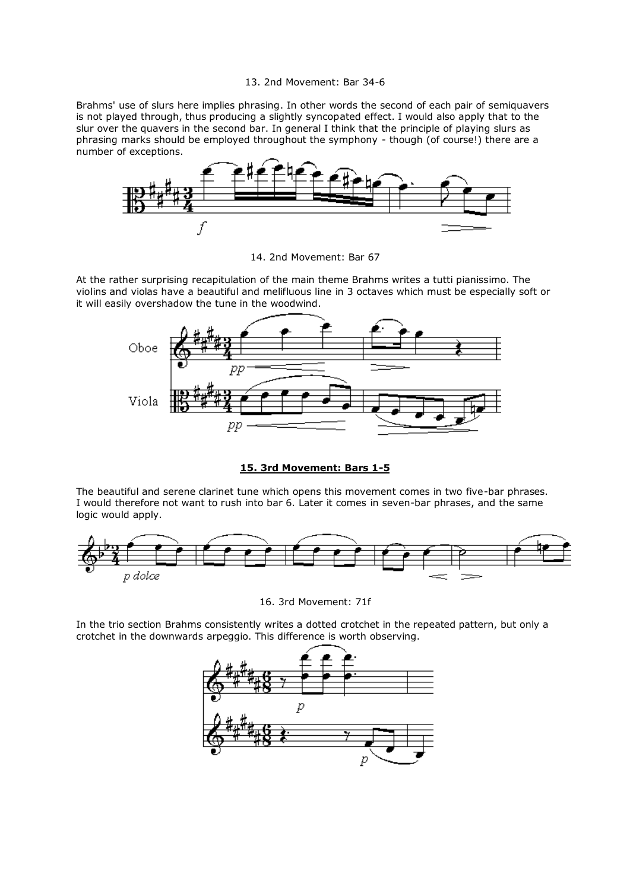## 13. 2nd Movement: Bar 34-6

Brahms' use of slurs here implies phrasing. In other words the second of each pair of semiquavers is not played through, thus producing a slightly syncopated effect. I would also apply that to the slur over the quavers in the second bar. In general I think that the principle of playing slurs as phrasing marks should be employed throughout the symphony - though (of course!) there are a number of exceptions.



14. 2nd Movement: Bar 67

At the rather surprising recapitulation of the main theme Brahms writes a tutti pianissimo. The violins and violas have a beautiful and melifluous line in 3 octaves which must be especially soft or it will easily overshadow the tune in the woodwind.



# **15. 3rd Movement: Bars 1-5**

The beautiful and serene clarinet tune which opens this movement comes in two five-bar phrases. I would therefore not want to rush into bar 6. Later it comes in seven-bar phrases, and the same logic would apply.



16. 3rd Movement: 71f

In the trio section Brahms consistently writes a dotted crotchet in the repeated pattern, but only a crotchet in the downwards arpeggio. This difference is worth observing.

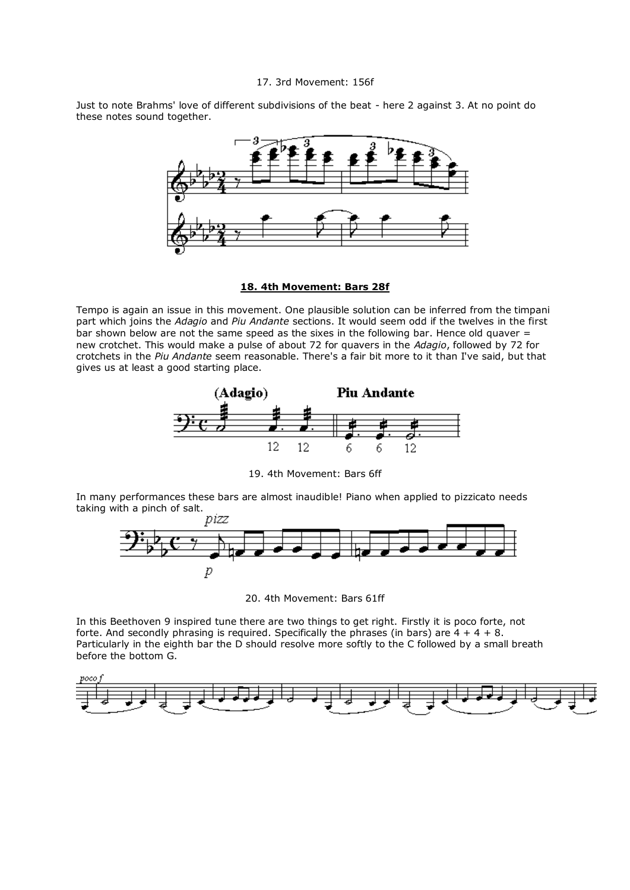#### 17. 3rd Movement: 156f

Just to note Brahms' love of different subdivisions of the beat - here 2 against 3. At no point do these notes sound together.



# **18. 4th Movement: Bars 28f**

Tempo is again an issue in this movement. One plausible solution can be inferred from the timpani part which joins the *Adagio* and *Piu Andante* sections. It would seem odd if the twelves in the first bar shown below are not the same speed as the sixes in the following bar. Hence old quaver = new crotchet. This would make a pulse of about 72 for quavers in the *Adagio*, followed by 72 for crotchets in the *Piu Andante* seem reasonable. There's a fair bit more to it than I've said, but that gives us at least a good starting place.



19. 4th Movement: Bars 6ff

In many performances these bars are almost inaudible! Piano when applied to pizzicato needs taking with a pinch of salt.<br> $p$ izz



20. 4th Movement: Bars 61ff

In this Beethoven 9 inspired tune there are two things to get right. Firstly it is poco forte, not forte. And secondly phrasing is required. Specifically the phrases (in bars) are  $4 + 4 + 8$ . Particularly in the eighth bar the D should resolve more softly to the C followed by a small breath before the bottom G.